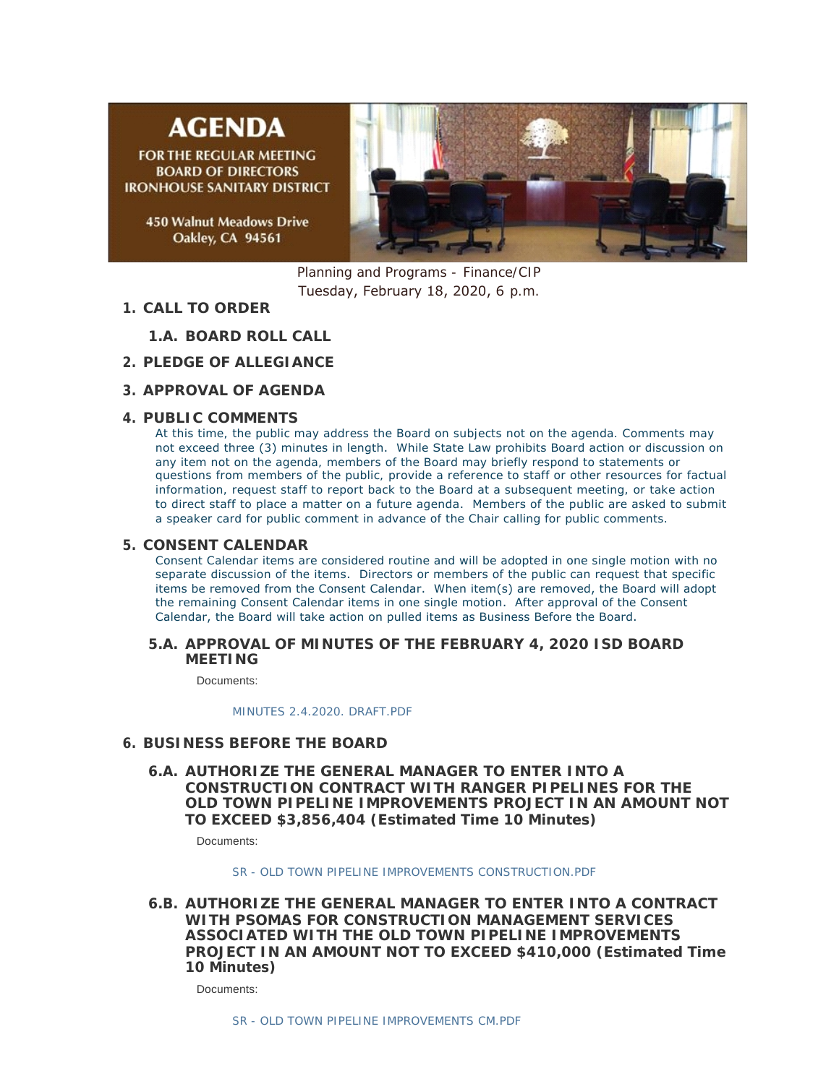# **AGENDA**

**FOR THE REGULAR MEETING BOARD OF DIRECTORS IRONHOUSE SANITARY DISTRICT** 

> **450 Walnut Meadows Drive** Oakley, CA 94561



Planning and Programs - Finance/CIP Tuesday, February 18, 2020, 6 p.m.

- **CALL TO ORDER 1.**
	- **BOARD ROLL CALL 1.A.**
- **PLEDGE OF ALLEGIANCE 2.**
- **APPROVAL OF AGENDA 3.**

## **PUBLIC COMMENTS 4.**

At this time, the public may address the Board on subjects not on the agenda. Comments may not exceed three (3) minutes in length. While State Law prohibits Board action or discussion on any item not on the agenda, members of the Board may briefly respond to statements or questions from members of the public, provide a reference to staff or other resources for factual information, request staff to report back to the Board at a subsequent meeting, or take action to direct staff to place a matter on a future agenda. Members of the public are asked to submit a speaker card for public comment in advance of the Chair calling for public comments.

## **CONSENT CALENDAR 5.**

Consent Calendar items are considered routine and will be adopted in one single motion with no separate discussion of the items. Directors or members of the public can request that specific items be removed from the Consent Calendar. When item(s) are removed, the Board will adopt the remaining Consent Calendar items in one single motion. After approval of the Consent Calendar, the Board will take action on pulled items as Business Before the Board.

#### **APPROVAL OF MINUTES OF THE FEBRUARY 4, 2020 ISD BOARD 5.A. MEETING**

Documents:

*[MINUTES 2.4.2020. DRAFT.PDF](http://ironhousesanitarydistrict.com/AgendaCenter/ViewFile/Item/3473?fileID=2904)*

## **BUSINESS BEFORE THE BOARD 6.**

**AUTHORIZE THE GENERAL MANAGER TO ENTER INTO A 6.A. CONSTRUCTION CONTRACT WITH RANGER PIPELINES FOR THE OLD TOWN PIPELINE IMPROVEMENTS PROJECT IN AN AMOUNT NOT TO EXCEED \$3,856,404 (Estimated Time 10 Minutes)**

Documents:

*[SR - OLD TOWN PIPELINE IMPROVEMENTS CONSTRUCTION.PDF](http://ironhousesanitarydistrict.com/AgendaCenter/ViewFile/Item/3489?fileID=2905)*

**AUTHORIZE THE GENERAL MANAGER TO ENTER INTO A CONTRACT 6.B. WITH PSOMAS FOR CONSTRUCTION MANAGEMENT SERVICES ASSOCIATED WITH THE OLD TOWN PIPELINE IMPROVEMENTS PROJECT IN AN AMOUNT NOT TO EXCEED \$410,000 (Estimated Time 10 Minutes)**

Documents: